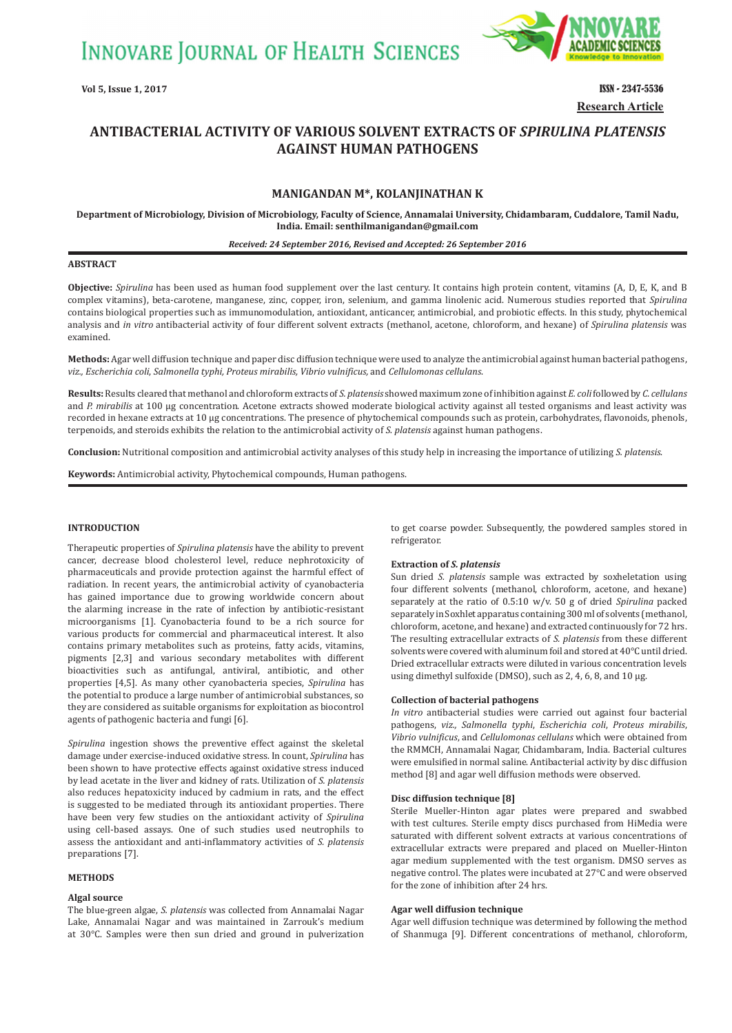**INNOVARE JOURNAL OF HEALTH SCIENCES** 



**Vol 5, Issue 1, 2017 ISSN - 2347-5536 Research Article**

# **ANTIBACTERIAL ACTIVITY OF VARIOUS SOLVENT EXTRACTS OF** *SPIRULINA PLATENSIS*  **AGAINST HUMAN PATHOGENS**

# **MANIGANDAN M\*, KOLANJINATHAN K**

**Department of Microbiology, Division of Microbiology, Faculty of Science, Annamalai University, Chidambaram, Cuddalore, Tamil Nadu, India. Email: senthilmanigandan@gmail.com**

#### *Received: 24 September 2016, Revised and Accepted: 26 September 2016*

#### **ABSTRACT**

**Objective:** *Spirulina* has been used as human food supplement over the last century. It contains high protein content, vitamins (A, D, E, K, and B complex vitamins), beta-carotene, manganese, zinc, copper, iron, selenium, and gamma linolenic acid. Numerous studies reported that *Spirulina*  contains biological properties such as immunomodulation, antioxidant, anticancer, antimicrobial, and probiotic effects. In this study, phytochemical analysis and *in vitro* antibacterial activity of four different solvent extracts (methanol, acetone, chloroform, and hexane) of *Spirulina platensis* was examined.

**Methods:** Agar well diffusion technique and paper disc diffusion technique were used to analyze the antimicrobial against human bacterial pathogens, *viz., Escherichia coli*, *Salmonella typhi, Proteus mirabilis, Vibrio vulnificus,* and *Cellulomonas cellulans*.

**Results:** Results cleared that methanol and chloroform extracts of *S. platensis* showed maximum zone of inhibition against *E. coli* followed by *C. cellulans* and *P. mirabilis* at 100 µg concentration. Acetone extracts showed moderate biological activity against all tested organisms and least activity was recorded in hexane extracts at 10 µg concentrations. The presence of phytochemical compounds such as protein, carbohydrates, flavonoids, phenols, terpenoids, and steroids exhibits the relation to the antimicrobial activity of *S. platensis* against human pathogens.

**Conclusion:** Nutritional composition and antimicrobial activity analyses of this study help in increasing the importance of utilizing *S. platensis*.

**Keywords:** Antimicrobial activity, Phytochemical compounds, Human pathogens.

# **INTRODUCTION**

Therapeutic properties of *Spirulina platensis* have the ability to prevent cancer, decrease blood cholesterol level, reduce nephrotoxicity of pharmaceuticals and provide protection against the harmful effect of radiation. In recent years, the antimicrobial activity of cyanobacteria has gained importance due to growing worldwide concern about the alarming increase in the rate of infection by antibiotic-resistant microorganisms [1]. Cyanobacteria found to be a rich source for various products for commercial and pharmaceutical interest. It also contains primary metabolites such as proteins, fatty acids, vitamins, pigments [2,3] and various secondary metabolites with different bioactivities such as antifungal, antiviral, antibiotic, and other properties [4,5]. As many other cyanobacteria species, *Spirulina* has the potential to produce a large number of antimicrobial substances, so they are considered as suitable organisms for exploitation as biocontrol agents of pathogenic bacteria and fungi [6].

*Spirulina* ingestion shows the preventive effect against the skeletal damage under exercise-induced oxidative stress. In count, *Spirulina* has been shown to have protective effects against oxidative stress induced by lead acetate in the liver and kidney of rats. Utilization of *S. platensis* also reduces hepatoxicity induced by cadmium in rats, and the effect is suggested to be mediated through its antioxidant properties. There have been very few studies on the antioxidant activity of *Spirulina* using cell-based assays. One of such studies used neutrophils to assess the antioxidant and anti-inflammatory activities of *S. platensis* preparations [7].

# **METHODS**

#### **Algal source**

The blue-green algae, *S. platensis* was collected from Annamalai Nagar Lake, Annamalai Nagar and was maintained in Zarrouk's medium at 30°C. Samples were then sun dried and ground in pulverization to get coarse powder. Subsequently, the powdered samples stored in refrigerator.

## **Extraction of** *S. platensis*

Sun dried *S. platensis* sample was extracted by soxheletation using four different solvents (methanol, chloroform, acetone, and hexane) separately at the ratio of 0.5:10 w/v. 50 g of dried *Spirulina* packed separately in Soxhlet apparatus containing 300 ml of solvents (methanol, chloroform, acetone, and hexane) and extracted continuously for 72 hrs. The resulting extracellular extracts of *S. platensis* from these different solvents were covered with aluminum foil and stored at 40°C until dried. Dried extracellular extracts were diluted in various concentration levels using dimethyl sulfoxide (DMSO), such as 2, 4, 6, 8, and 10 µg.

#### **Collection of bacterial pathogens**

*In vitro* antibacterial studies were carried out against four bacterial pathogens, *viz., Salmonella typhi*, *Escherichia coli*, *Proteus mirabilis*, *Vibrio vulnificus*, and *Cellulomonas cellulans* which were obtained from the RMMCH, Annamalai Nagar, Chidambaram, India. Bacterial cultures were emulsified in normal saline. Antibacterial activity by disc diffusion method [8] and agar well diffusion methods were observed.

#### **Disc diffusion technique [8]**

Sterile Mueller-Hinton agar plates were prepared and swabbed with test cultures. Sterile empty discs purchased from HiMedia were saturated with different solvent extracts at various concentrations of extracellular extracts were prepared and placed on Mueller-Hinton agar medium supplemented with the test organism. DMSO serves as negative control. The plates were incubated at 27°C and were observed for the zone of inhibition after 24 hrs.

## **Agar well diffusion technique**

Agar well diffusion technique was determined by following the method of Shanmuga [9]. Different concentrations of methanol, chloroform,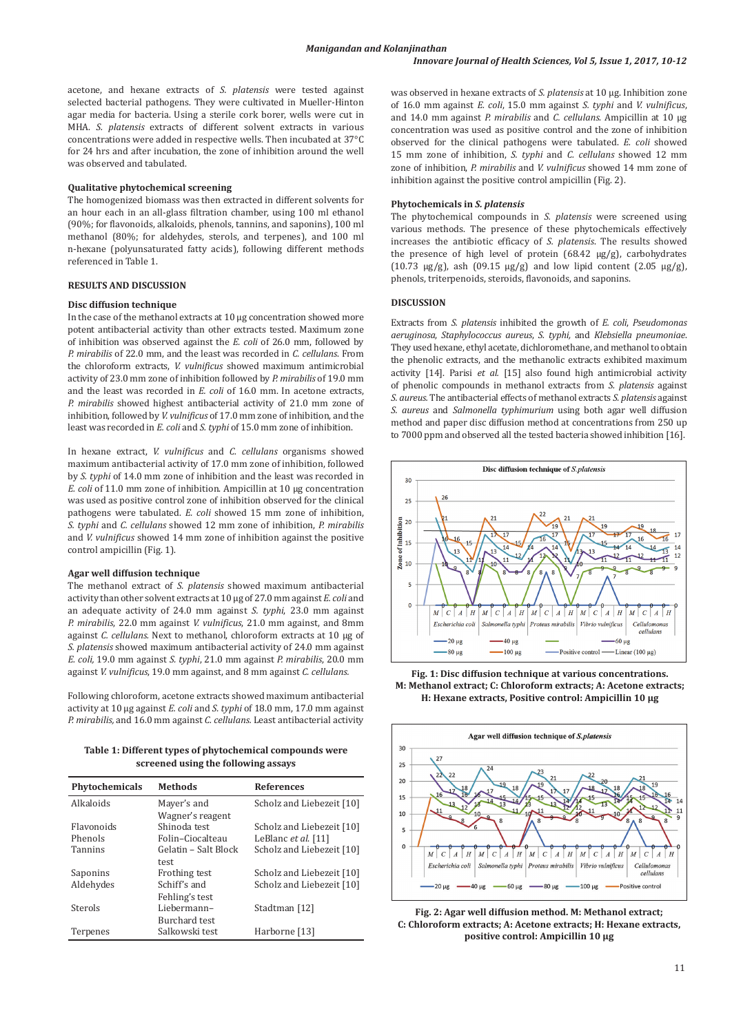acetone, and hexane extracts of *S. platensis* were tested against selected bacterial pathogens. They were cultivated in Mueller-Hinton agar media for bacteria. Using a sterile cork borer, wells were cut in MHA. *S. platensis* extracts of different solvent extracts in various concentrations were added in respective wells. Then incubated at 37°C for 24 hrs and after incubation, the zone of inhibition around the well was observed and tabulated.

#### **Qualitative phytochemical screening**

The homogenized biomass was then extracted in different solvents for an hour each in an all-glass filtration chamber, using 100 ml ethanol (90%; for flavonoids, alkaloids, phenols, tannins, and saponins), 100 ml methanol (80%; for aldehydes, sterols, and terpenes), and 100 ml n-hexane (polyunsaturated fatty acids), following different methods referenced in Table 1.

## **RESULTS AND DISCUSSION**

# **Disc diffusion technique**

In the case of the methanol extracts at 10 µg concentration showed more potent antibacterial activity than other extracts tested. Maximum zone of inhibition was observed against the *E. coli* of 26.0 mm, followed by *P. mirabilis* of 22.0 mm, and the least was recorded in *C. cellulans*. From the chloroform extracts, *V. vulnificus* showed maximum antimicrobial activity of 23.0 mm zone of inhibition followed by *P. mirabilis* of 19.0 mm and the least was recorded in *E. coli* of 16.0 mm. In acetone extracts, *P. mirabilis* showed highest antibacterial activity of 21.0 mm zone of inhibition, followed by *V. vulnificus* of 17.0 mm zone of inhibition, and the least was recorded in *E. coli* and *S. typhi* of 15.0 mm zone of inhibition.

In hexane extract, *V. vulnificus* and *C. cellulans* organisms showed maximum antibacterial activity of 17.0 mm zone of inhibition, followed by *S. typhi* of 14.0 mm zone of inhibition and the least was recorded in *E. coli* of 11.0 mm zone of inhibition. Ampicillin at 10 µg concentration was used as positive control zone of inhibition observed for the clinical pathogens were tabulated. *E. coli* showed 15 mm zone of inhibition, *S. typhi* and *C. cellulans* showed 12 mm zone of inhibition, *P. mirabilis* and *V. vulnificus* showed 14 mm zone of inhibition against the positive control ampicillin (Fig. 1).

## **Agar well diffusion technique**

The methanol extract of *S. platensis* showed maximum antibacterial activity than other solvent extracts at 10 µg of 27.0 mm against *E. coli* and an adequate activity of 24.0 mm against *S. typhi*, 23.0 mm against *P. mirabilis*, 22.0 mm against *V. vulnificus*, 21.0 mm against, and 8mm against *C. cellulans.* Next to methanol, chloroform extracts at 10 µg of *S. platensis* showed maximum antibacterial activity of 24.0 mm against *E. coli,* 19.0 mm against *S. typhi*, 21.0 mm against *P. mirabilis*, 20.0 mm against *V. vulnificus*, 19.0 mm against, and 8 mm against *C. cellulans.*

Following chloroform, acetone extracts showed maximum antibacterial activity at 10 µg against *E. coli* and *S. typhi* of 18.0 mm, 17.0 mm against *P. mirabilis,* and 16.0 mm against *C. cellulans.* Least antibacterial activity

**Table 1: Different types of phytochemical compounds were screened using the following assays**

| <b>Phytochemicals</b> | <b>Methods</b>       | <b>References</b>         |
|-----------------------|----------------------|---------------------------|
| Alkaloids             | Mayer's and          | Scholz and Liebezeit [10] |
|                       | Wagner's reagent     |                           |
| <b>Flavonoids</b>     | Shinoda test         | Scholz and Liebezeit [10] |
| Phenols               | Folin-Ciocalteau     | LeBlanc et al. [11]       |
| <b>Tannins</b>        | Gelatin - Salt Block | Scholz and Liebezeit [10] |
|                       | test                 |                           |
| Saponins              | Frothing test        | Scholz and Liebezeit [10] |
| Aldehydes             | Schiff's and         | Scholz and Liebezeit [10] |
|                       | Fehling's test       |                           |
| Sterols               | Liebermann-          | Stadtman [12]             |
|                       | Burchard test        |                           |
| Terpenes              | Salkowski test       | Harborne [13]             |

was observed in hexane extracts of *S. platensis* at 10 µg. Inhibition zone of 16.0 mm against *E. coli*, 15.0 mm against *S. typhi* and *V. vulnificus*, and 14.0 mm against *P. mirabilis* and *C. cellulans*. Ampicillin at 10 µg concentration was used as positive control and the zone of inhibition observed for the clinical pathogens were tabulated. *E. coli* showed 15 mm zone of inhibition, *S. typhi* and *C. cellulans* showed 12 mm zone of inhibition, *P. mirabilis* and *V. vulnificus* showed 14 mm zone of inhibition against the positive control ampicillin (Fig. 2).

## **Phytochemicals in** *S. platensis*

The phytochemical compounds in *S. platensis* were screened using various methods. The presence of these phytochemicals effectively increases the antibiotic efficacy of *S. platensis*. The results showed the presence of high level of protein (68.42 µg/g), carbohydrates (10.73  $\mu$ g/g), ash (09.15  $\mu$ g/g) and low lipid content (2.05  $\mu$ g/g), phenols, triterpenoids, steroids, flavonoids, and saponins.

# **DISCUSSION**

Extracts from *S. platensis* inhibited the growth of *E. coli*, *Pseudomonas aeruginosa*, *Staphylococcus aureus*, *S. typhi,* and *Klebsiella pneumoniae*. They used hexane, ethyl acetate, dichloromethane, and methanol to obtain the phenolic extracts, and the methanolic extracts exhibited maximum activity [14]. Parisi *et al.* [15] also found high antimicrobial activity of phenolic compounds in methanol extracts from *S. platensis* against *S. aureus.* The antibacterial effects of methanol extracts *S. platensis* against *S. aureus* and *Salmonella typhimurium* using both agar well diffusion method and paper disc diffusion method at concentrations from 250 up to 7000 ppm and observed all the tested bacteria showed inhibition [16].



**Fig. 1: Disc diffusion technique at various concentrations. M: Methanol extract; C: Chloroform extracts; A: Acetone extracts; H: Hexane extracts, Positive control: Ampicillin 10 µg**



**Fig. 2: Agar well diffusion method. M: Methanol extract; C: Chloroform extracts; A: Acetone extracts; H: Hexane extracts, positive control: Ampicillin 10 µg**